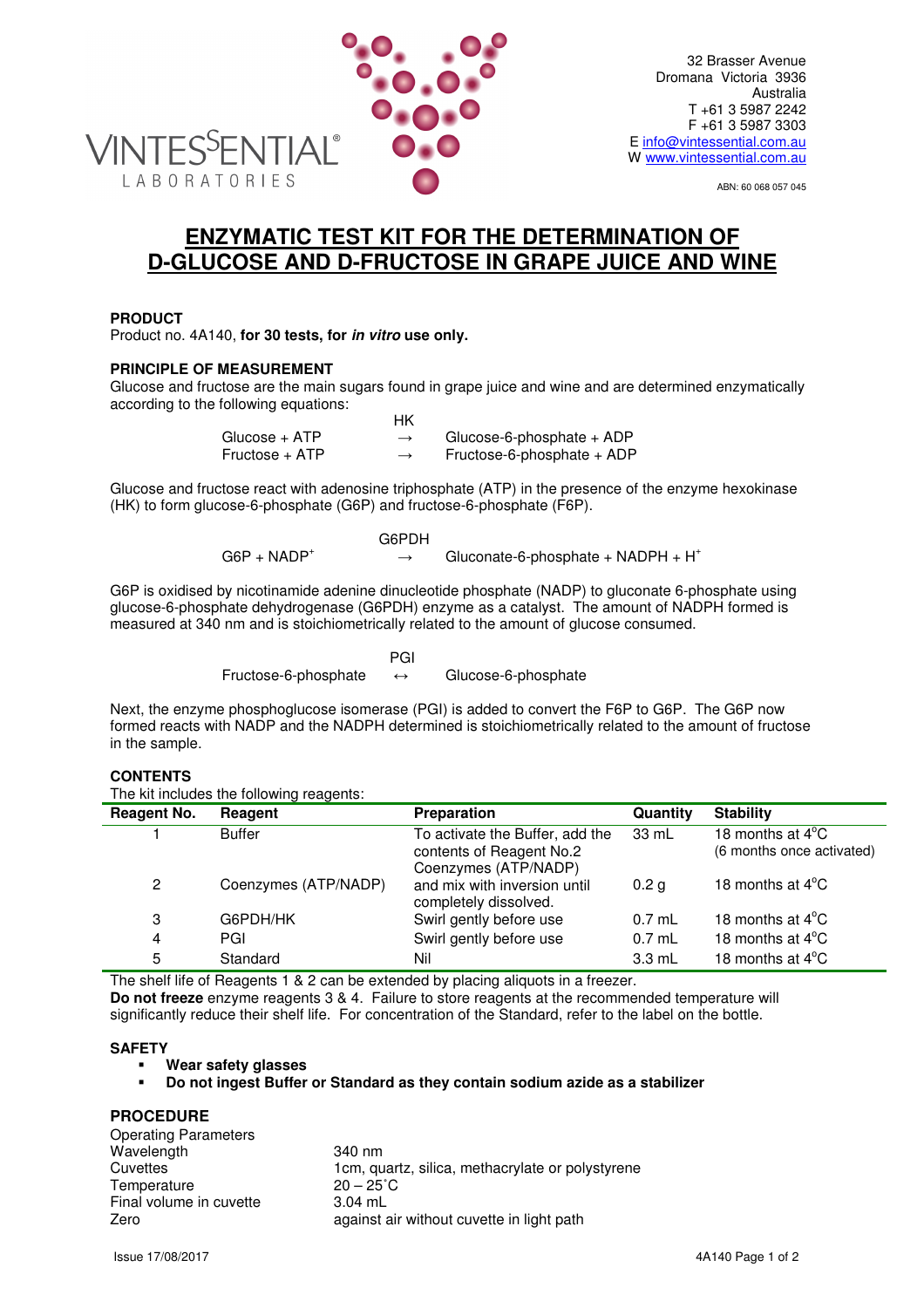

ABN: 60 068 057 045

# **ENZYMATIC TEST KIT FOR THE DETERMINATION OF D-GLUCOSE AND D-FRUCTOSE IN GRAPE JUICE AND WINE**

# **PRODUCT**

Product no. 4A140, **for 30 tests, for in vitro use only.**

# **PRINCIPLE OF MEASUREMENT**

Glucose and fructose are the main sugars found in grape juice and wine and are determined enzymatically according to the following equations:

|                | НK            |                              |
|----------------|---------------|------------------------------|
| Glucose + ATP  | $\rightarrow$ | Glucose-6-phosphate + $ADP$  |
| Fructose + ATP | $\rightarrow$ | Fructose-6-phosphate $+$ ADP |

Glucose and fructose react with adenosine triphosphate (ATP) in the presence of the enzyme hexokinase (HK) to form glucose-6-phosphate (G6P) and fructose-6-phosphate (F6P).

|                | G6PDH                                 |  |
|----------------|---------------------------------------|--|
| $G6P + NADP^+$ | Gluconate-6-phosphate + $NADPH + H^+$ |  |

G6P is oxidised by nicotinamide adenine dinucleotide phosphate (NADP) to gluconate 6-phosphate using glucose-6-phosphate dehydrogenase (G6PDH) enzyme as a catalyst. The amount of NADPH formed is measured at 340 nm and is stoichiometrically related to the amount of glucose consumed.

**PGI** PGI 2007 - PGI 2007 - PGI 2007 - PGI Fructose-6-phosphate ↔ Glucose-6-phosphate

Next, the enzyme phosphoglucose isomerase (PGI) is added to convert the F6P to G6P. The G6P now formed reacts with NADP and the NADPH determined is stoichiometrically related to the amount of fructose in the sample.

## **CONTENTS**

The kit includes the following reagents:

| <b>Reagent No.</b>   | Reagent              | Preparation                                                                         | <b>Quantity</b>  | <b>Stability</b>                                        |
|----------------------|----------------------|-------------------------------------------------------------------------------------|------------------|---------------------------------------------------------|
|                      | <b>Buffer</b>        | To activate the Buffer, add the<br>contents of Reagent No.2<br>Coenzymes (ATP/NADP) | 33 mL            | 18 months at $4^{\circ}$ C<br>(6 months once activated) |
| $\mathbf{2}^{\circ}$ | Coenzymes (ATP/NADP) | and mix with inversion until<br>completely dissolved.                               | 0.2 <sub>g</sub> | 18 months at $4^{\circ}$ C                              |
| 3                    | G6PDH/HK             | Swirl gently before use                                                             | $0.7$ mL         | 18 months at $4^{\circ}$ C                              |
| 4                    | PGI                  | Swirl gently before use                                                             | $0.7$ mL         | 18 months at $4^{\circ}$ C                              |
| 5                    | Standard             | Nil                                                                                 | $3.3 \text{ mL}$ | 18 months at $4^{\circ}$ C                              |

The shelf life of Reagents 1 & 2 can be extended by placing aliquots in a freezer. **Do not freeze** enzyme reagents 3 & 4. Failure to store reagents at the recommended temperature will significantly reduce their shelf life. For concentration of the Standard, refer to the label on the bottle.

## **SAFETY**

**Wear safety glasses** 

## **Do not ingest Buffer or Standard as they contain sodium azide as a stabilizer**

# **PROCEDURE**

| <b>Operating Parameters</b> |                                                  |
|-----------------------------|--------------------------------------------------|
| Wavelength                  | 340 nm                                           |
| Cuvettes                    | 1cm, quartz, silica, methacrylate or polystyrene |
| Temperature                 | $20 - 25^{\circ}$ C                              |
| Final volume in cuvette     | $3.04$ mL                                        |
| Zero                        | against air without cuvette in light path        |